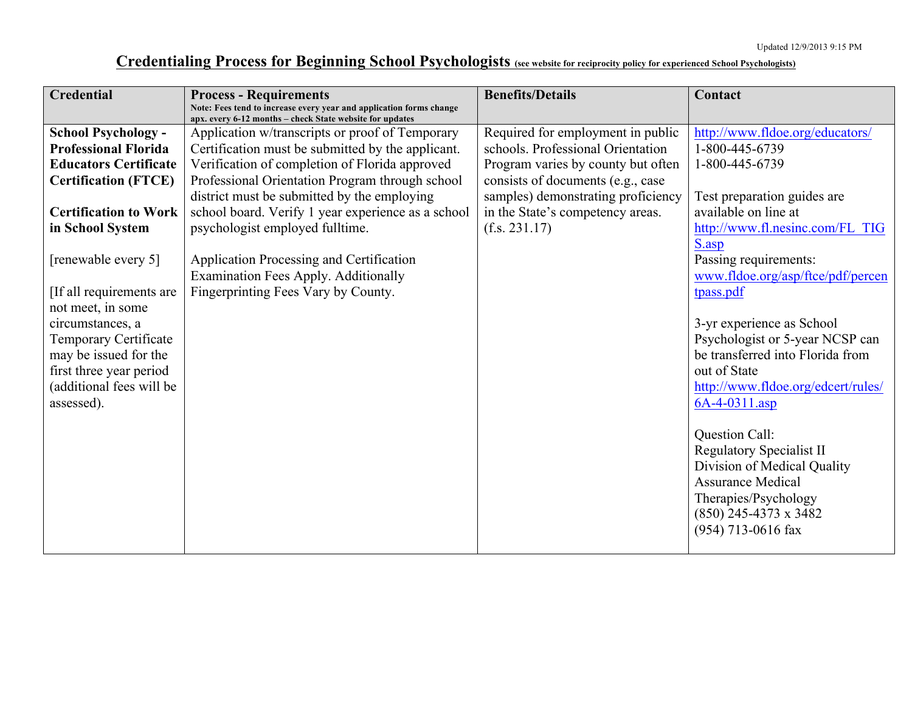## **Credentialing Process for Beginning School Psychologists (see website for reciprocity policy for experienced School Psychologists)**

| <b>Credential</b>            | <b>Process - Requirements</b>                                                                                                   | <b>Benefits/Details</b>            | Contact                                                 |
|------------------------------|---------------------------------------------------------------------------------------------------------------------------------|------------------------------------|---------------------------------------------------------|
|                              | Note: Fees tend to increase every year and application forms change<br>apx. every 6-12 months - check State website for updates |                                    |                                                         |
| <b>School Psychology -</b>   | Application w/transcripts or proof of Temporary                                                                                 | Required for employment in public  | http://www.fldoe.org/educators/                         |
| <b>Professional Florida</b>  | Certification must be submitted by the applicant.                                                                               | schools. Professional Orientation  | 1-800-445-6739                                          |
| <b>Educators Certificate</b> | Verification of completion of Florida approved                                                                                  | Program varies by county but often | 1-800-445-6739                                          |
| <b>Certification (FTCE)</b>  | Professional Orientation Program through school                                                                                 | consists of documents (e.g., case  |                                                         |
|                              | district must be submitted by the employing                                                                                     | samples) demonstrating proficiency | Test preparation guides are                             |
| <b>Certification to Work</b> | school board. Verify 1 year experience as a school                                                                              | in the State's competency areas.   | available on line at                                    |
| in School System             | psychologist employed fulltime.                                                                                                 | (f.s. 231.17)                      | http://www.fl.nesinc.com/FL TIG                         |
|                              |                                                                                                                                 |                                    | S.asp                                                   |
| [renewable every 5]          | Application Processing and Certification                                                                                        |                                    | Passing requirements:                                   |
|                              | Examination Fees Apply. Additionally                                                                                            |                                    | www.fldoe.org/asp/ftce/pdf/percen                       |
| If all requirements are      | Fingerprinting Fees Vary by County.                                                                                             |                                    | tpass.pdf                                               |
| not meet, in some            |                                                                                                                                 |                                    |                                                         |
| circumstances, a             |                                                                                                                                 |                                    | 3-yr experience as School                               |
| Temporary Certificate        |                                                                                                                                 |                                    | Psychologist or 5-year NCSP can                         |
| may be issued for the        |                                                                                                                                 |                                    | be transferred into Florida from                        |
| first three year period      |                                                                                                                                 |                                    | out of State                                            |
| (additional fees will be     |                                                                                                                                 |                                    | http://www.fldoe.org/edcert/rules/                      |
| assessed).                   |                                                                                                                                 |                                    | 6A-4-0311.asp                                           |
|                              |                                                                                                                                 |                                    |                                                         |
|                              |                                                                                                                                 |                                    | Question Call:                                          |
|                              |                                                                                                                                 |                                    | <b>Regulatory Specialist II</b>                         |
|                              |                                                                                                                                 |                                    | Division of Medical Quality<br><b>Assurance Medical</b> |
|                              |                                                                                                                                 |                                    | Therapies/Psychology                                    |
|                              |                                                                                                                                 |                                    | $(850)$ 245-4373 x 3482                                 |
|                              |                                                                                                                                 |                                    | (954) 713-0616 fax                                      |
|                              |                                                                                                                                 |                                    |                                                         |